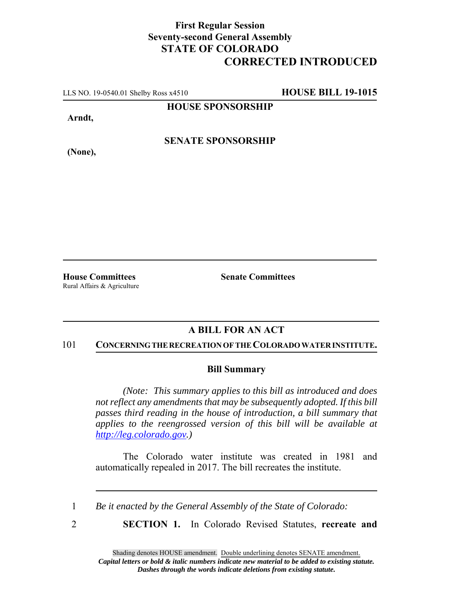## **First Regular Session Seventy-second General Assembly STATE OF COLORADO CORRECTED INTRODUCED**

LLS NO. 19-0540.01 Shelby Ross x4510 **HOUSE BILL 19-1015**

**HOUSE SPONSORSHIP**

**Arndt,**

**(None),**

**SENATE SPONSORSHIP**

Rural Affairs & Agriculture

**House Committees Senate Committees**

## **A BILL FOR AN ACT**

#### 101 **CONCERNING THE RECREATION OF THE COLORADO WATER INSTITUTE.**

### **Bill Summary**

*(Note: This summary applies to this bill as introduced and does not reflect any amendments that may be subsequently adopted. If this bill passes third reading in the house of introduction, a bill summary that applies to the reengrossed version of this bill will be available at http://leg.colorado.gov.)*

The Colorado water institute was created in 1981 and automatically repealed in 2017. The bill recreates the institute.

1 *Be it enacted by the General Assembly of the State of Colorado:*

2 **SECTION 1.** In Colorado Revised Statutes, **recreate and**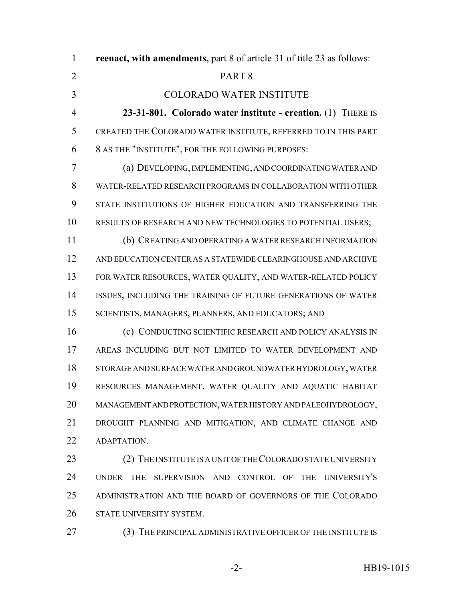**reenact, with amendments,** part 8 of article 31 of title 23 as follows: PART 8 COLORADO WATER INSTITUTE **23-31-801. Colorado water institute - creation.** (1) THERE IS CREATED THE COLORADO WATER INSTITUTE, REFERRED TO IN THIS PART 8 AS THE "INSTITUTE", FOR THE FOLLOWING PURPOSES: (a) DEVELOPING, IMPLEMENTING, AND COORDINATING WATER AND WATER-RELATED RESEARCH PROGRAMS IN COLLABORATION WITH OTHER STATE INSTITUTIONS OF HIGHER EDUCATION AND TRANSFERRING THE RESULTS OF RESEARCH AND NEW TECHNOLOGIES TO POTENTIAL USERS; (b) CREATING AND OPERATING A WATER RESEARCH INFORMATION AND EDUCATION CENTER AS A STATEWIDE CLEARINGHOUSE AND ARCHIVE FOR WATER RESOURCES, WATER QUALITY, AND WATER-RELATED POLICY ISSUES, INCLUDING THE TRAINING OF FUTURE GENERATIONS OF WATER SCIENTISTS, MANAGERS, PLANNERS, AND EDUCATORS; AND (c) CONDUCTING SCIENTIFIC RESEARCH AND POLICY ANALYSIS IN

 AREAS INCLUDING BUT NOT LIMITED TO WATER DEVELOPMENT AND STORAGE AND SURFACE WATER AND GROUNDWATER HYDROLOGY, WATER RESOURCES MANAGEMENT, WATER QUALITY AND AQUATIC HABITAT MANAGEMENT AND PROTECTION, WATER HISTORY AND PALEOHYDROLOGY, DROUGHT PLANNING AND MITIGATION, AND CLIMATE CHANGE AND ADAPTATION.

23 (2) THE INSTITUTE IS A UNIT OF THE COLORADO STATE UNIVERSITY UNDER THE SUPERVISION AND CONTROL OF THE UNIVERSITY'S ADMINISTRATION AND THE BOARD OF GOVERNORS OF THE COLORADO STATE UNIVERSITY SYSTEM.

27 (3) THE PRINCIPAL ADMINISTRATIVE OFFICER OF THE INSTITUTE IS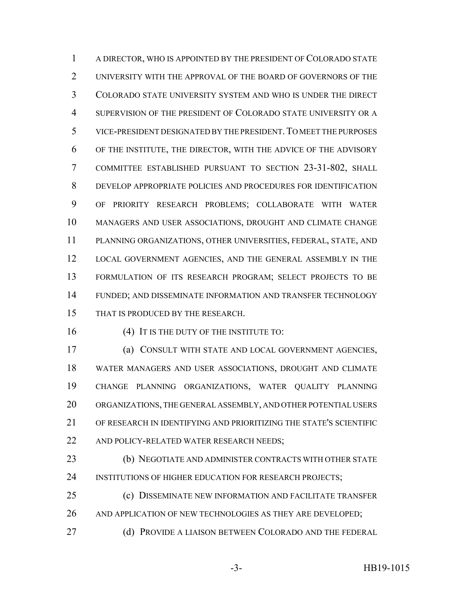A DIRECTOR, WHO IS APPOINTED BY THE PRESIDENT OF COLORADO STATE UNIVERSITY WITH THE APPROVAL OF THE BOARD OF GOVERNORS OF THE COLORADO STATE UNIVERSITY SYSTEM AND WHO IS UNDER THE DIRECT SUPERVISION OF THE PRESIDENT OF COLORADO STATE UNIVERSITY OR A VICE-PRESIDENT DESIGNATED BY THE PRESIDENT.TO MEET THE PURPOSES OF THE INSTITUTE, THE DIRECTOR, WITH THE ADVICE OF THE ADVISORY COMMITTEE ESTABLISHED PURSUANT TO SECTION 23-31-802, SHALL DEVELOP APPROPRIATE POLICIES AND PROCEDURES FOR IDENTIFICATION OF PRIORITY RESEARCH PROBLEMS; COLLABORATE WITH WATER MANAGERS AND USER ASSOCIATIONS, DROUGHT AND CLIMATE CHANGE PLANNING ORGANIZATIONS, OTHER UNIVERSITIES, FEDERAL, STATE, AND LOCAL GOVERNMENT AGENCIES, AND THE GENERAL ASSEMBLY IN THE FORMULATION OF ITS RESEARCH PROGRAM; SELECT PROJECTS TO BE FUNDED; AND DISSEMINATE INFORMATION AND TRANSFER TECHNOLOGY THAT IS PRODUCED BY THE RESEARCH.

16 (4) IT IS THE DUTY OF THE INSTITUTE TO:

 (a) CONSULT WITH STATE AND LOCAL GOVERNMENT AGENCIES, WATER MANAGERS AND USER ASSOCIATIONS, DROUGHT AND CLIMATE CHANGE PLANNING ORGANIZATIONS, WATER QUALITY PLANNING ORGANIZATIONS, THE GENERAL ASSEMBLY, AND OTHER POTENTIAL USERS OF RESEARCH IN IDENTIFYING AND PRIORITIZING THE STATE'S SCIENTIFIC 22 AND POLICY-RELATED WATER RESEARCH NEEDS;

 (b) NEGOTIATE AND ADMINISTER CONTRACTS WITH OTHER STATE 24 INSTITUTIONS OF HIGHER EDUCATION FOR RESEARCH PROJECTS;

 (c) DISSEMINATE NEW INFORMATION AND FACILITATE TRANSFER 26 AND APPLICATION OF NEW TECHNOLOGIES AS THEY ARE DEVELOPED;

27 (d) PROVIDE A LIAISON BETWEEN COLORADO AND THE FEDERAL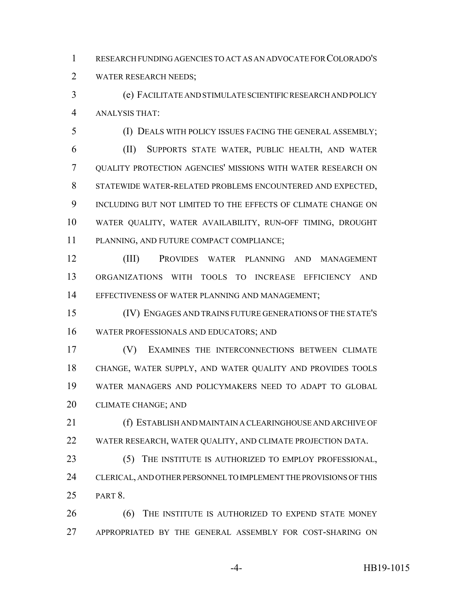RESEARCH FUNDING AGENCIES TO ACT AS AN ADVOCATE FOR COLORADO'S WATER RESEARCH NEEDS;

 (e) FACILITATE AND STIMULATE SCIENTIFIC RESEARCH AND POLICY ANALYSIS THAT:

 (I) DEALS WITH POLICY ISSUES FACING THE GENERAL ASSEMBLY; (II) SUPPORTS STATE WATER, PUBLIC HEALTH, AND WATER QUALITY PROTECTION AGENCIES' MISSIONS WITH WATER RESEARCH ON STATEWIDE WATER-RELATED PROBLEMS ENCOUNTERED AND EXPECTED, INCLUDING BUT NOT LIMITED TO THE EFFECTS OF CLIMATE CHANGE ON WATER QUALITY, WATER AVAILABILITY, RUN-OFF TIMING, DROUGHT PLANNING, AND FUTURE COMPACT COMPLIANCE;

 (III) PROVIDES WATER PLANNING AND MANAGEMENT ORGANIZATIONS WITH TOOLS TO INCREASE EFFICIENCY AND EFFECTIVENESS OF WATER PLANNING AND MANAGEMENT;

 (IV) ENGAGES AND TRAINS FUTURE GENERATIONS OF THE STATE'S WATER PROFESSIONALS AND EDUCATORS; AND

 (V) EXAMINES THE INTERCONNECTIONS BETWEEN CLIMATE CHANGE, WATER SUPPLY, AND WATER QUALITY AND PROVIDES TOOLS WATER MANAGERS AND POLICYMAKERS NEED TO ADAPT TO GLOBAL CLIMATE CHANGE; AND

 (f) ESTABLISH AND MAINTAIN A CLEARINGHOUSE AND ARCHIVE OF WATER RESEARCH, WATER QUALITY, AND CLIMATE PROJECTION DATA.

 (5) THE INSTITUTE IS AUTHORIZED TO EMPLOY PROFESSIONAL, CLERICAL, AND OTHER PERSONNEL TO IMPLEMENT THE PROVISIONS OF THIS PART 8.

**6** (6) THE INSTITUTE IS AUTHORIZED TO EXPEND STATE MONEY APPROPRIATED BY THE GENERAL ASSEMBLY FOR COST-SHARING ON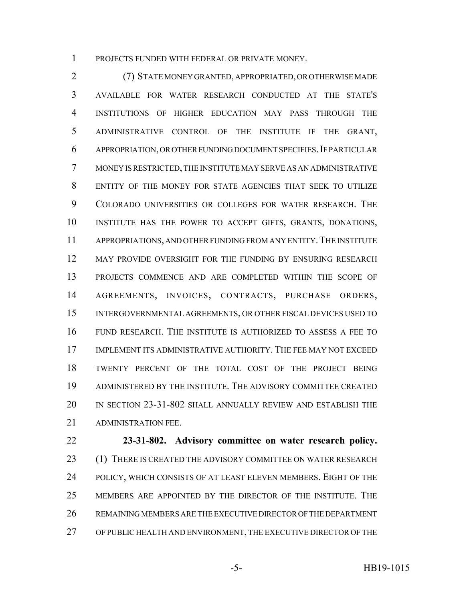PROJECTS FUNDED WITH FEDERAL OR PRIVATE MONEY.

 (7) STATE MONEY GRANTED, APPROPRIATED, OR OTHERWISE MADE AVAILABLE FOR WATER RESEARCH CONDUCTED AT THE STATE'S INSTITUTIONS OF HIGHER EDUCATION MAY PASS THROUGH THE ADMINISTRATIVE CONTROL OF THE INSTITUTE IF THE GRANT, 6 APPROPRIATION, OR OTHER FUNDING DOCUMENT SPECIFIES. IF PARTICULAR MONEY IS RESTRICTED, THE INSTITUTE MAY SERVE AS AN ADMINISTRATIVE ENTITY OF THE MONEY FOR STATE AGENCIES THAT SEEK TO UTILIZE COLORADO UNIVERSITIES OR COLLEGES FOR WATER RESEARCH. THE INSTITUTE HAS THE POWER TO ACCEPT GIFTS, GRANTS, DONATIONS, APPROPRIATIONS, AND OTHER FUNDING FROM ANY ENTITY.THE INSTITUTE MAY PROVIDE OVERSIGHT FOR THE FUNDING BY ENSURING RESEARCH PROJECTS COMMENCE AND ARE COMPLETED WITHIN THE SCOPE OF AGREEMENTS, INVOICES, CONTRACTS, PURCHASE ORDERS, INTERGOVERNMENTAL AGREEMENTS, OR OTHER FISCAL DEVICES USED TO FUND RESEARCH. THE INSTITUTE IS AUTHORIZED TO ASSESS A FEE TO IMPLEMENT ITS ADMINISTRATIVE AUTHORITY. THE FEE MAY NOT EXCEED TWENTY PERCENT OF THE TOTAL COST OF THE PROJECT BEING ADMINISTERED BY THE INSTITUTE. THE ADVISORY COMMITTEE CREATED IN SECTION 23-31-802 SHALL ANNUALLY REVIEW AND ESTABLISH THE ADMINISTRATION FEE.

 **23-31-802. Advisory committee on water research policy.** 23 (1) THERE IS CREATED THE ADVISORY COMMITTEE ON WATER RESEARCH POLICY, WHICH CONSISTS OF AT LEAST ELEVEN MEMBERS. EIGHT OF THE MEMBERS ARE APPOINTED BY THE DIRECTOR OF THE INSTITUTE. THE REMAINING MEMBERS ARE THE EXECUTIVE DIRECTOR OF THE DEPARTMENT OF PUBLIC HEALTH AND ENVIRONMENT, THE EXECUTIVE DIRECTOR OF THE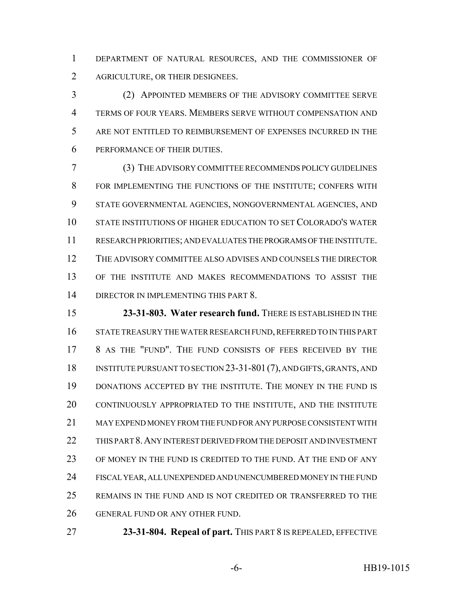DEPARTMENT OF NATURAL RESOURCES, AND THE COMMISSIONER OF AGRICULTURE, OR THEIR DESIGNEES.

 (2) APPOINTED MEMBERS OF THE ADVISORY COMMITTEE SERVE TERMS OF FOUR YEARS. MEMBERS SERVE WITHOUT COMPENSATION AND ARE NOT ENTITLED TO REIMBURSEMENT OF EXPENSES INCURRED IN THE PERFORMANCE OF THEIR DUTIES.

 (3) THE ADVISORY COMMITTEE RECOMMENDS POLICY GUIDELINES FOR IMPLEMENTING THE FUNCTIONS OF THE INSTITUTE; CONFERS WITH STATE GOVERNMENTAL AGENCIES, NONGOVERNMENTAL AGENCIES, AND STATE INSTITUTIONS OF HIGHER EDUCATION TO SET COLORADO'S WATER RESEARCH PRIORITIES; AND EVALUATES THE PROGRAMS OF THE INSTITUTE. THE ADVISORY COMMITTEE ALSO ADVISES AND COUNSELS THE DIRECTOR OF THE INSTITUTE AND MAKES RECOMMENDATIONS TO ASSIST THE DIRECTOR IN IMPLEMENTING THIS PART 8.

 **23-31-803. Water research fund.** THERE IS ESTABLISHED IN THE STATE TREASURY THE WATER RESEARCH FUND, REFERRED TO IN THIS PART 8 AS THE "FUND". THE FUND CONSISTS OF FEES RECEIVED BY THE INSTITUTE PURSUANT TO SECTION 23-31-801(7), AND GIFTS, GRANTS, AND DONATIONS ACCEPTED BY THE INSTITUTE. THE MONEY IN THE FUND IS CONTINUOUSLY APPROPRIATED TO THE INSTITUTE, AND THE INSTITUTE MAY EXPEND MONEY FROM THE FUND FOR ANY PURPOSE CONSISTENT WITH THIS PART 8.ANY INTEREST DERIVED FROM THE DEPOSIT AND INVESTMENT OF MONEY IN THE FUND IS CREDITED TO THE FUND. AT THE END OF ANY FISCAL YEAR, ALL UNEXPENDED AND UNENCUMBERED MONEY IN THE FUND REMAINS IN THE FUND AND IS NOT CREDITED OR TRANSFERRED TO THE GENERAL FUND OR ANY OTHER FUND.

**23-31-804. Repeal of part.** THIS PART 8 IS REPEALED, EFFECTIVE